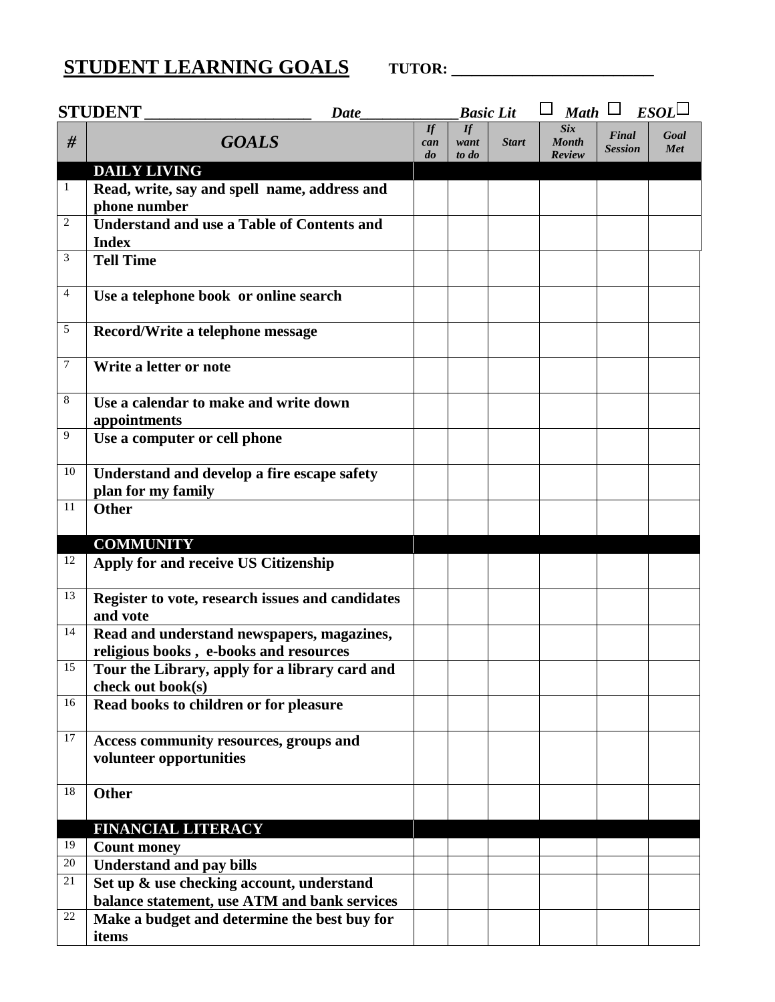## **STUDENT LEARNING GOALS TUTOR: \_\_\_\_\_\_\_\_\_\_\_\_\_\_\_\_\_\_\_\_**

|              | <b>STUDENT</b><br><b>Date</b>                                                        |                 | <b>Basic Lit</b>    |              | <b>Math</b>                          | $\Box$                  | ESOL        |
|--------------|--------------------------------------------------------------------------------------|-----------------|---------------------|--------------|--------------------------------------|-------------------------|-------------|
| #            | <b>GOALS</b>                                                                         | If<br>can<br>do | If<br>want<br>to do | <b>Start</b> | <b>Six</b><br><b>Month</b><br>Review | Final<br><b>Session</b> | Goal<br>Met |
|              | <b>DAILY LIVING</b>                                                                  |                 |                     |              |                                      |                         |             |
| $\mathbf{1}$ | Read, write, say and spell name, address and<br>phone number                         |                 |                     |              |                                      |                         |             |
| 2            | <b>Understand and use a Table of Contents and</b><br><b>Index</b>                    |                 |                     |              |                                      |                         |             |
| 3            | <b>Tell Time</b>                                                                     |                 |                     |              |                                      |                         |             |
| 4            | Use a telephone book or online search                                                |                 |                     |              |                                      |                         |             |
| $\sqrt{5}$   | Record/Write a telephone message                                                     |                 |                     |              |                                      |                         |             |
| 7            | Write a letter or note                                                               |                 |                     |              |                                      |                         |             |
| 8            | Use a calendar to make and write down<br>appointments                                |                 |                     |              |                                      |                         |             |
| 9            | Use a computer or cell phone                                                         |                 |                     |              |                                      |                         |             |
| 10           | Understand and develop a fire escape safety<br>plan for my family                    |                 |                     |              |                                      |                         |             |
| 11           | <b>Other</b>                                                                         |                 |                     |              |                                      |                         |             |
|              | <b>COMMUNITY</b>                                                                     |                 |                     |              |                                      |                         |             |
| 12           | Apply for and receive US Citizenship                                                 |                 |                     |              |                                      |                         |             |
| 13           | Register to vote, research issues and candidates<br>and vote                         |                 |                     |              |                                      |                         |             |
| 14           | Read and understand newspapers, magazines,<br>religious books, e-books and resources |                 |                     |              |                                      |                         |             |
| 15           | Tour the Library, apply for a library card and<br>check out book(s)                  |                 |                     |              |                                      |                         |             |
| 16           | Read books to children or for pleasure                                               |                 |                     |              |                                      |                         |             |
| 17           | Access community resources, groups and<br>volunteer opportunities                    |                 |                     |              |                                      |                         |             |
| 18           | <b>Other</b>                                                                         |                 |                     |              |                                      |                         |             |
|              | <b>FINANCIAL LITERACY</b>                                                            |                 |                     |              |                                      |                         |             |
| 19           | <b>Count money</b>                                                                   |                 |                     |              |                                      |                         |             |
| 20           | <b>Understand and pay bills</b>                                                      |                 |                     |              |                                      |                         |             |
| 21           | Set up & use checking account, understand                                            |                 |                     |              |                                      |                         |             |
|              | balance statement, use ATM and bank services                                         |                 |                     |              |                                      |                         |             |
| 22           | Make a budget and determine the best buy for<br>items                                |                 |                     |              |                                      |                         |             |
|              |                                                                                      |                 |                     |              |                                      |                         |             |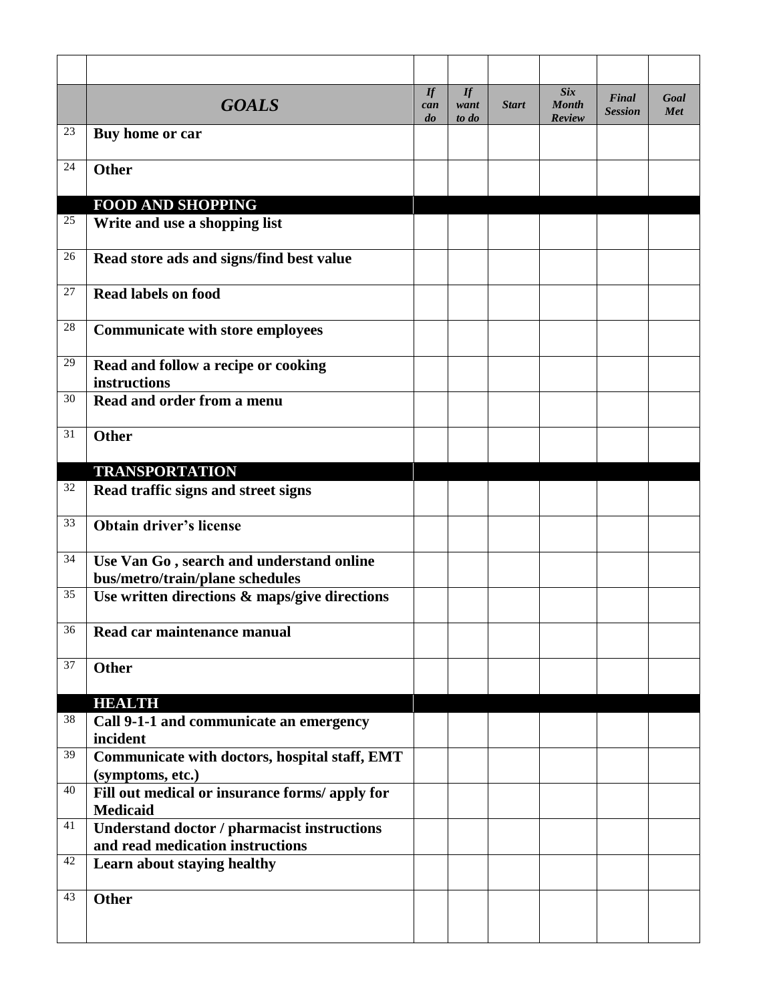|        | <b>GOALS</b>                                                                           | $\iint$<br>can<br>$\boldsymbol{d}\boldsymbol{o}$ | If<br>want<br>to do | <b>Start</b> | <b>Six</b><br><b>Month</b><br>Review | Final<br><b>Session</b> | Goal<br>Met |
|--------|----------------------------------------------------------------------------------------|--------------------------------------------------|---------------------|--------------|--------------------------------------|-------------------------|-------------|
| 23     | Buy home or car                                                                        |                                                  |                     |              |                                      |                         |             |
| 24     | Other                                                                                  |                                                  |                     |              |                                      |                         |             |
|        | <b>FOOD AND SHOPPING</b>                                                               |                                                  |                     |              |                                      |                         |             |
| $25\,$ | Write and use a shopping list                                                          |                                                  |                     |              |                                      |                         |             |
| 26     | Read store ads and signs/find best value                                               |                                                  |                     |              |                                      |                         |             |
| 27     | <b>Read labels on food</b>                                                             |                                                  |                     |              |                                      |                         |             |
| 28     | <b>Communicate with store employees</b>                                                |                                                  |                     |              |                                      |                         |             |
| 29     | Read and follow a recipe or cooking<br>instructions                                    |                                                  |                     |              |                                      |                         |             |
| 30     | Read and order from a menu                                                             |                                                  |                     |              |                                      |                         |             |
| 31     | Other                                                                                  |                                                  |                     |              |                                      |                         |             |
|        | <b>TRANSPORTATION</b>                                                                  |                                                  |                     |              |                                      |                         |             |
| 32     | Read traffic signs and street signs                                                    |                                                  |                     |              |                                      |                         |             |
| 33     | <b>Obtain driver's license</b>                                                         |                                                  |                     |              |                                      |                         |             |
| 34     | Use Van Go, search and understand online<br>bus/metro/train/plane schedules            |                                                  |                     |              |                                      |                         |             |
| 35     | Use written directions & maps/give directions                                          |                                                  |                     |              |                                      |                         |             |
| 36     | Read car maintenance manual                                                            |                                                  |                     |              |                                      |                         |             |
| 37     | <b>Other</b>                                                                           |                                                  |                     |              |                                      |                         |             |
|        | <b>HEALTH</b>                                                                          |                                                  |                     |              |                                      |                         |             |
| 38     | Call 9-1-1 and communicate an emergency<br>incident                                    |                                                  |                     |              |                                      |                         |             |
| 39     | Communicate with doctors, hospital staff, EMT<br>(symptoms, etc.)                      |                                                  |                     |              |                                      |                         |             |
| 40     | Fill out medical or insurance forms/apply for<br><b>Medicaid</b>                       |                                                  |                     |              |                                      |                         |             |
| 41     | <b>Understand doctor / pharmacist instructions</b><br>and read medication instructions |                                                  |                     |              |                                      |                         |             |
| 42     | Learn about staying healthy                                                            |                                                  |                     |              |                                      |                         |             |
| 43     | <b>Other</b>                                                                           |                                                  |                     |              |                                      |                         |             |